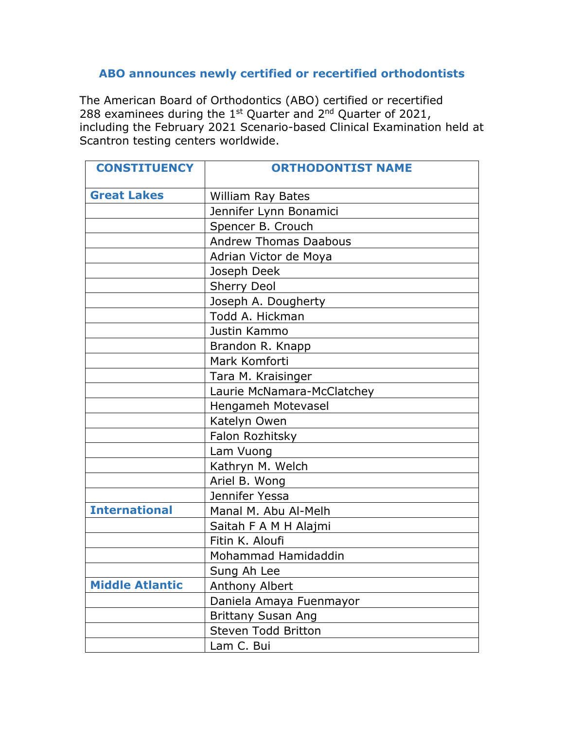## **ABO announces newly certified or recertified orthodontists**

The American Board of Orthodontics (ABO) certified or recertified 288 examinees during the  $1<sup>st</sup>$  Quarter and  $2<sup>nd</sup>$  Quarter of 2021, including the February 2021 Scenario-based Clinical Examination held at Scantron testing centers worldwide.

| <b>CONSTITUENCY</b>    | <b>ORTHODONTIST NAME</b>     |
|------------------------|------------------------------|
| <b>Great Lakes</b>     | William Ray Bates            |
|                        | Jennifer Lynn Bonamici       |
|                        | Spencer B. Crouch            |
|                        | <b>Andrew Thomas Daabous</b> |
|                        | Adrian Victor de Moya        |
|                        | Joseph Deek                  |
|                        | <b>Sherry Deol</b>           |
|                        | Joseph A. Dougherty          |
|                        | Todd A. Hickman              |
|                        | Justin Kammo                 |
|                        | Brandon R. Knapp             |
|                        | Mark Komforti                |
|                        | Tara M. Kraisinger           |
|                        | Laurie McNamara-McClatchey   |
|                        | Hengameh Motevasel           |
|                        | Katelyn Owen                 |
|                        | Falon Rozhitsky              |
|                        | Lam Vuong                    |
|                        | Kathryn M. Welch             |
|                        | Ariel B. Wong                |
|                        | Jennifer Yessa               |
| <b>International</b>   | Manal M. Abu Al-Melh         |
|                        | Saitah F A M H Alajmi        |
|                        | Fitin K. Aloufi              |
|                        | Mohammad Hamidaddin          |
|                        | Sung Ah Lee                  |
| <b>Middle Atlantic</b> | <b>Anthony Albert</b>        |
|                        | Daniela Amaya Fuenmayor      |
|                        | <b>Brittany Susan Ang</b>    |
|                        | Steven Todd Britton          |
|                        | Lam C. Bui                   |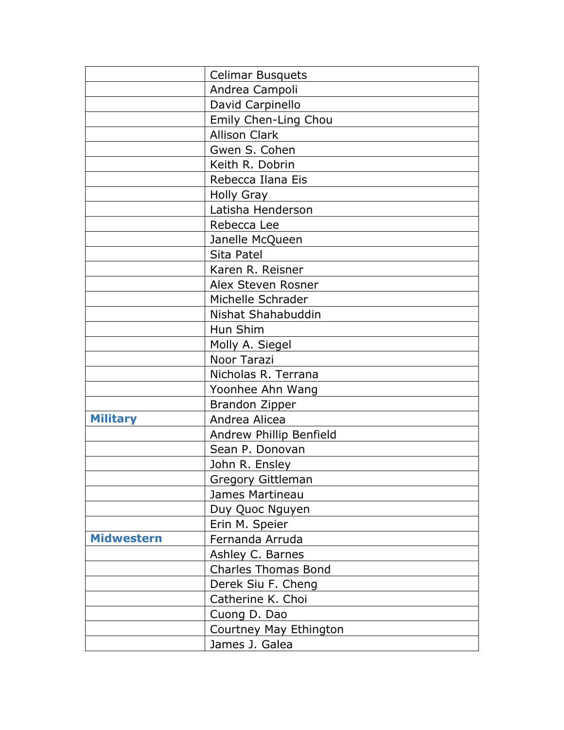|                   | <b>Celimar Busquets</b>    |
|-------------------|----------------------------|
|                   | Andrea Campoli             |
|                   | David Carpinello           |
|                   | Emily Chen-Ling Chou       |
|                   | <b>Allison Clark</b>       |
|                   | Gwen S. Cohen              |
|                   | Keith R. Dobrin            |
|                   | Rebecca Ilana Eis          |
|                   | <b>Holly Gray</b>          |
|                   | Latisha Henderson          |
|                   | Rebecca Lee                |
|                   | Janelle McQueen            |
|                   | Sita Patel                 |
|                   | Karen R. Reisner           |
|                   | Alex Steven Rosner         |
|                   | Michelle Schrader          |
|                   | Nishat Shahabuddin         |
|                   | Hun Shim                   |
|                   | Molly A. Siegel            |
|                   | Noor Tarazi                |
|                   | Nicholas R. Terrana        |
|                   | Yoonhee Ahn Wang           |
|                   | <b>Brandon Zipper</b>      |
| <b>Military</b>   | Andrea Alicea              |
|                   | Andrew Phillip Benfield    |
|                   | Sean P. Donovan            |
|                   | John R. Ensley             |
|                   | <b>Gregory Gittleman</b>   |
|                   | James Martineau            |
|                   | Duy Quoc Nguyen            |
|                   | Erin M. Speier             |
| <b>Midwestern</b> | Fernanda Arruda            |
|                   | Ashley C. Barnes           |
|                   | <b>Charles Thomas Bond</b> |
|                   | Derek Siu F. Cheng         |
|                   | Catherine K. Choi          |
|                   | Cuong D. Dao               |
|                   | Courtney May Ethington     |
|                   | James J. Galea             |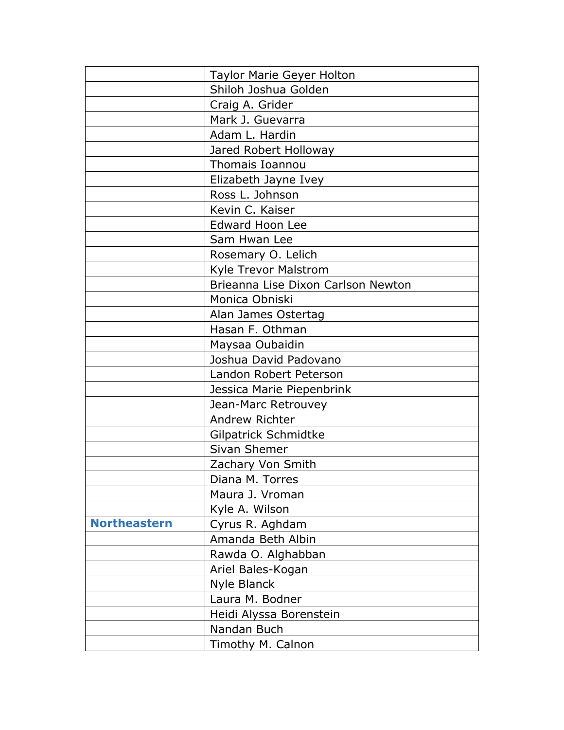|                     | Taylor Marie Geyer Holton          |
|---------------------|------------------------------------|
|                     | Shiloh Joshua Golden               |
|                     | Craig A. Grider                    |
|                     | Mark J. Guevarra                   |
|                     | Adam L. Hardin                     |
|                     | Jared Robert Holloway              |
|                     | Thomais Ioannou                    |
|                     | Elizabeth Jayne Ivey               |
|                     | Ross L. Johnson                    |
|                     | Kevin C. Kaiser                    |
|                     | <b>Edward Hoon Lee</b>             |
|                     | Sam Hwan Lee                       |
|                     | Rosemary O. Lelich                 |
|                     | Kyle Trevor Malstrom               |
|                     | Brieanna Lise Dixon Carlson Newton |
|                     | Monica Obniski                     |
|                     | Alan James Ostertag                |
|                     | Hasan F. Othman                    |
|                     | Maysaa Oubaidin                    |
|                     | Joshua David Padovano              |
|                     | Landon Robert Peterson             |
|                     | Jessica Marie Piepenbrink          |
|                     | Jean-Marc Retrouvey                |
|                     | Andrew Richter                     |
|                     | Gilpatrick Schmidtke               |
|                     | Sivan Shemer                       |
|                     | Zachary Von Smith                  |
|                     | Diana M. Torres                    |
|                     | Maura J. Vroman                    |
|                     | Kyle A. Wilson                     |
| <b>Northeastern</b> | Cyrus R. Aghdam                    |
|                     | Amanda Beth Albin                  |
|                     | Rawda O. Alghabban                 |
|                     | Ariel Bales-Kogan                  |
|                     | Nyle Blanck                        |
|                     | Laura M. Bodner                    |
|                     | Heidi Alyssa Borenstein            |
|                     | Nandan Buch                        |
|                     | Timothy M. Calnon                  |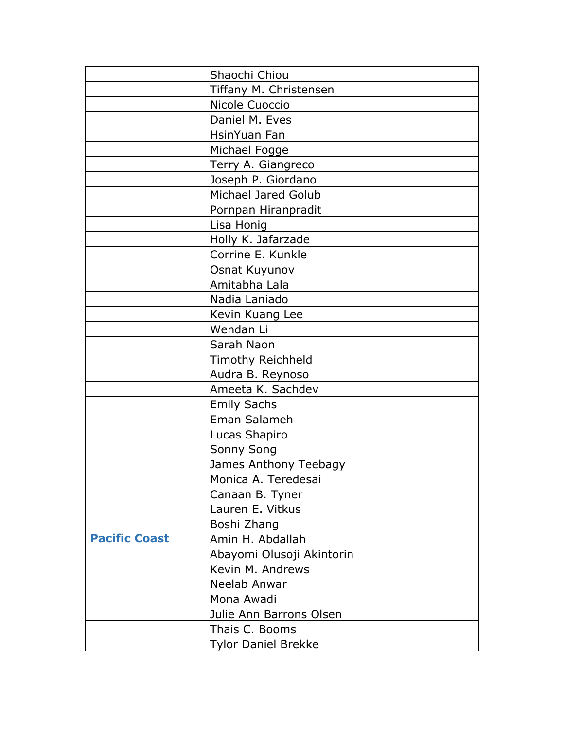|                      | Shaochi Chiou              |
|----------------------|----------------------------|
|                      | Tiffany M. Christensen     |
|                      | Nicole Cuoccio             |
|                      | Daniel M. Eves             |
|                      | HsinYuan Fan               |
|                      | Michael Fogge              |
|                      | Terry A. Giangreco         |
|                      | Joseph P. Giordano         |
|                      | Michael Jared Golub        |
|                      | Pornpan Hiranpradit        |
|                      | Lisa Honig                 |
|                      | Holly K. Jafarzade         |
|                      | Corrine E. Kunkle          |
|                      | Osnat Kuyunov              |
|                      | Amitabha Lala              |
|                      | Nadia Laniado              |
|                      | Kevin Kuang Lee            |
|                      | Wendan Li                  |
|                      | Sarah Naon                 |
|                      | <b>Timothy Reichheld</b>   |
|                      | Audra B. Reynoso           |
|                      | Ameeta K. Sachdev          |
|                      | <b>Emily Sachs</b>         |
|                      | Eman Salameh               |
|                      | Lucas Shapiro              |
|                      | <b>Sonny Song</b>          |
|                      | James Anthony Teebagy      |
|                      | Monica A. Teredesai        |
|                      | Canaan B. Tyner            |
|                      | Lauren E. Vitkus           |
|                      | Boshi Zhang                |
| <b>Pacific Coast</b> | Amin H. Abdallah           |
|                      | Abayomi Olusoji Akintorin  |
|                      | Kevin M. Andrews           |
|                      | Neelab Anwar               |
|                      | Mona Awadi                 |
|                      | Julie Ann Barrons Olsen    |
|                      | Thais C. Booms             |
|                      | <b>Tylor Daniel Brekke</b> |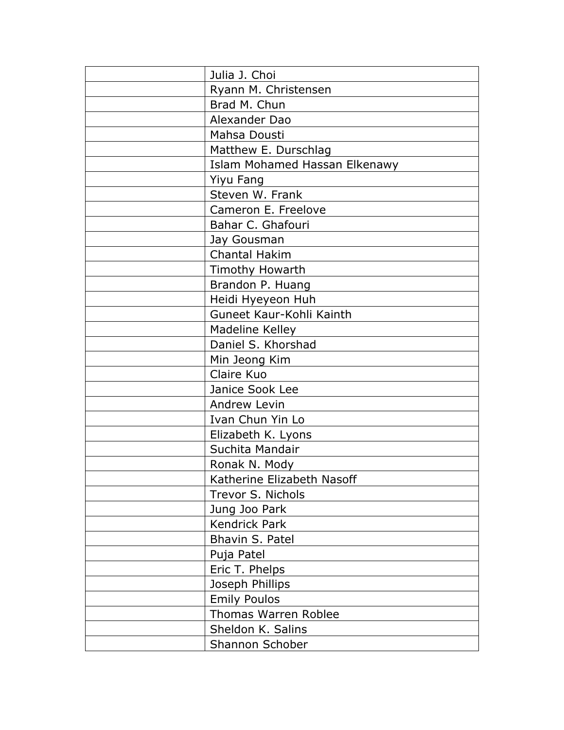| Julia J. Choi                 |
|-------------------------------|
| Ryann M. Christensen          |
| Brad M. Chun                  |
| Alexander Dao                 |
| Mahsa Dousti                  |
| Matthew E. Durschlag          |
| Islam Mohamed Hassan Elkenawy |
| Yiyu Fang                     |
| Steven W. Frank               |
| Cameron E. Freelove           |
| Bahar C. Ghafouri             |
| Jay Gousman                   |
| <b>Chantal Hakim</b>          |
| Timothy Howarth               |
| Brandon P. Huang              |
| Heidi Hyeyeon Huh             |
| Guneet Kaur-Kohli Kainth      |
| Madeline Kelley               |
| Daniel S. Khorshad            |
| Min Jeong Kim                 |
| Claire Kuo                    |
| Janice Sook Lee               |
| Andrew Levin                  |
| Ivan Chun Yin Lo              |
| Elizabeth K. Lyons            |
| Suchita Mandair               |
| Ronak N. Mody                 |
| Katherine Elizabeth Nasoff    |
| Trevor S. Nichols             |
| Jung Joo Park                 |
| <b>Kendrick Park</b>          |
| Bhavin S. Patel               |
| Puja Patel                    |
| Eric T. Phelps                |
| Joseph Phillips               |
| <b>Emily Poulos</b>           |
| <b>Thomas Warren Roblee</b>   |
| Sheldon K. Salins             |
| Shannon Schober               |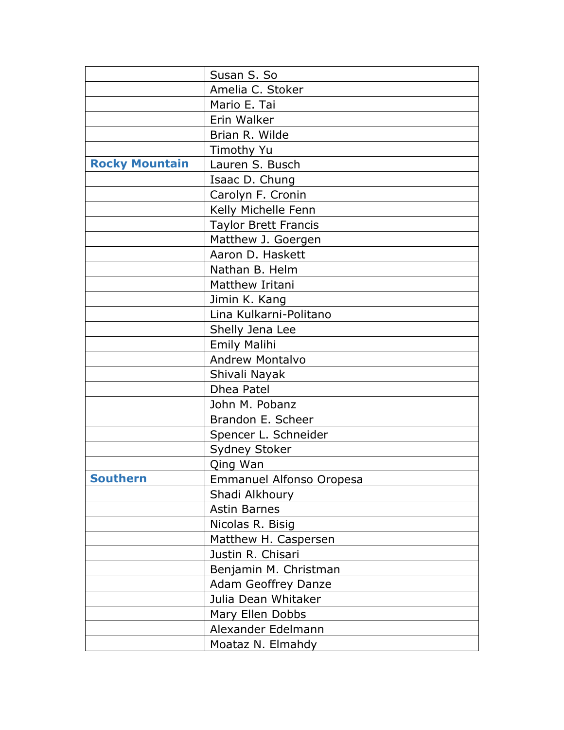|                       | Susan S. So                 |
|-----------------------|-----------------------------|
|                       | Amelia C. Stoker            |
|                       | Mario E. Tai                |
|                       | Erin Walker                 |
|                       | Brian R. Wilde              |
|                       | Timothy Yu                  |
| <b>Rocky Mountain</b> | Lauren S. Busch             |
|                       | Isaac D. Chung              |
|                       | Carolyn F. Cronin           |
|                       | Kelly Michelle Fenn         |
|                       | <b>Taylor Brett Francis</b> |
|                       | Matthew J. Goergen          |
|                       | Aaron D. Haskett            |
|                       | Nathan B. Helm              |
|                       | Matthew Iritani             |
|                       | Jimin K. Kang               |
|                       | Lina Kulkarni-Politano      |
|                       | Shelly Jena Lee             |
|                       | <b>Emily Malihi</b>         |
|                       | <b>Andrew Montalvo</b>      |
|                       | Shivali Nayak               |
|                       | Dhea Patel                  |
|                       | John M. Pobanz              |
|                       | Brandon E. Scheer           |
|                       | Spencer L. Schneider        |
|                       | <b>Sydney Stoker</b>        |
|                       | Qing Wan                    |
| <b>Southern</b>       | Emmanuel Alfonso Oropesa    |
|                       | Shadi Alkhoury              |
|                       | <b>Astin Barnes</b>         |
|                       | Nicolas R. Bisig            |
|                       | Matthew H. Caspersen        |
|                       | Justin R. Chisari           |
|                       | Benjamin M. Christman       |
|                       | <b>Adam Geoffrey Danze</b>  |
|                       | Julia Dean Whitaker         |
|                       | Mary Ellen Dobbs            |
|                       | Alexander Edelmann          |
|                       | Moataz N. Elmahdy           |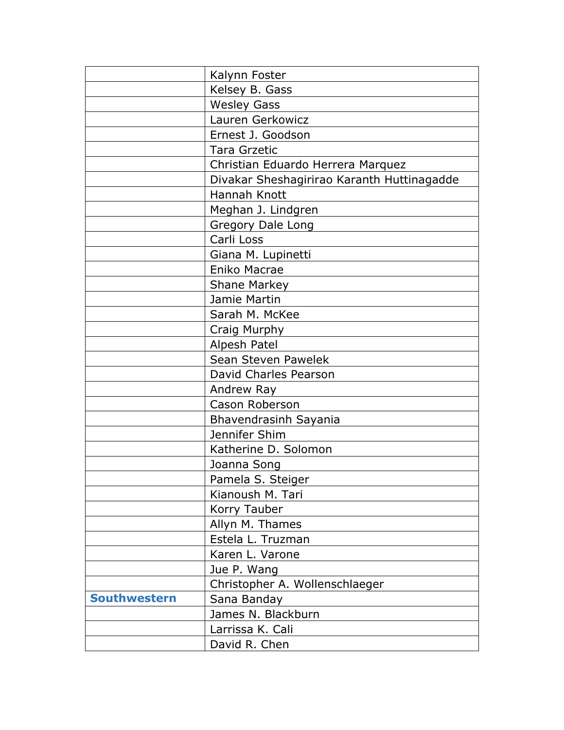|                     | Kalynn Foster                              |
|---------------------|--------------------------------------------|
|                     | Kelsey B. Gass                             |
|                     | <b>Wesley Gass</b>                         |
|                     | Lauren Gerkowicz                           |
|                     | Ernest J. Goodson                          |
|                     | <b>Tara Grzetic</b>                        |
|                     | Christian Eduardo Herrera Marquez          |
|                     | Divakar Sheshagirirao Karanth Huttinagadde |
|                     | Hannah Knott                               |
|                     | Meghan J. Lindgren                         |
|                     | Gregory Dale Long                          |
|                     | Carli Loss                                 |
|                     | Giana M. Lupinetti                         |
|                     | Eniko Macrae                               |
|                     | Shane Markey                               |
|                     | Jamie Martin                               |
|                     | Sarah M. McKee                             |
|                     | Craig Murphy                               |
|                     | Alpesh Patel                               |
|                     | Sean Steven Pawelek                        |
|                     | David Charles Pearson                      |
|                     | Andrew Ray                                 |
|                     | Cason Roberson                             |
|                     | Bhavendrasinh Sayania                      |
|                     | Jennifer Shim                              |
|                     | Katherine D. Solomon                       |
|                     | Joanna Song                                |
|                     | Pamela S. Steiger                          |
|                     | Kianoush M. Tari                           |
|                     | Korry Tauber                               |
|                     | Allyn M. Thames                            |
|                     | Estela L. Truzman                          |
|                     | Karen L. Varone                            |
|                     | Jue P. Wang                                |
|                     | Christopher A. Wollenschlaeger             |
| <b>Southwestern</b> | Sana Banday                                |
|                     | James N. Blackburn                         |
|                     | Larrissa K. Cali                           |
|                     | David R. Chen                              |